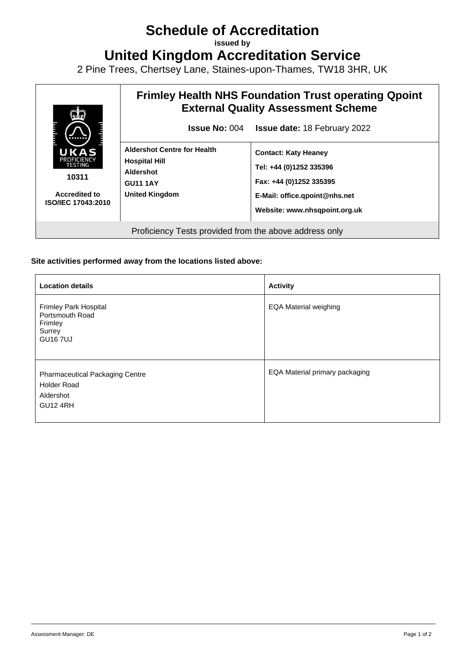## **Schedule of Accreditation**

**issued by**

**United Kingdom Accreditation Service**

2 Pine Trees, Chertsey Lane, Staines-upon-Thames, TW18 3HR, UK



## **Site activities performed away from the locations listed above:**

| <b>Location details</b>                                                                      | <b>Activity</b>                |
|----------------------------------------------------------------------------------------------|--------------------------------|
| Frimley Park Hospital<br>Portsmouth Road<br>Frimley<br>Surrey<br><b>GU167UJ</b>              | <b>EQA Material weighing</b>   |
| <b>Pharmaceutical Packaging Centre</b><br><b>Holder Road</b><br>Aldershot<br><b>GU12 4RH</b> | EQA Material primary packaging |